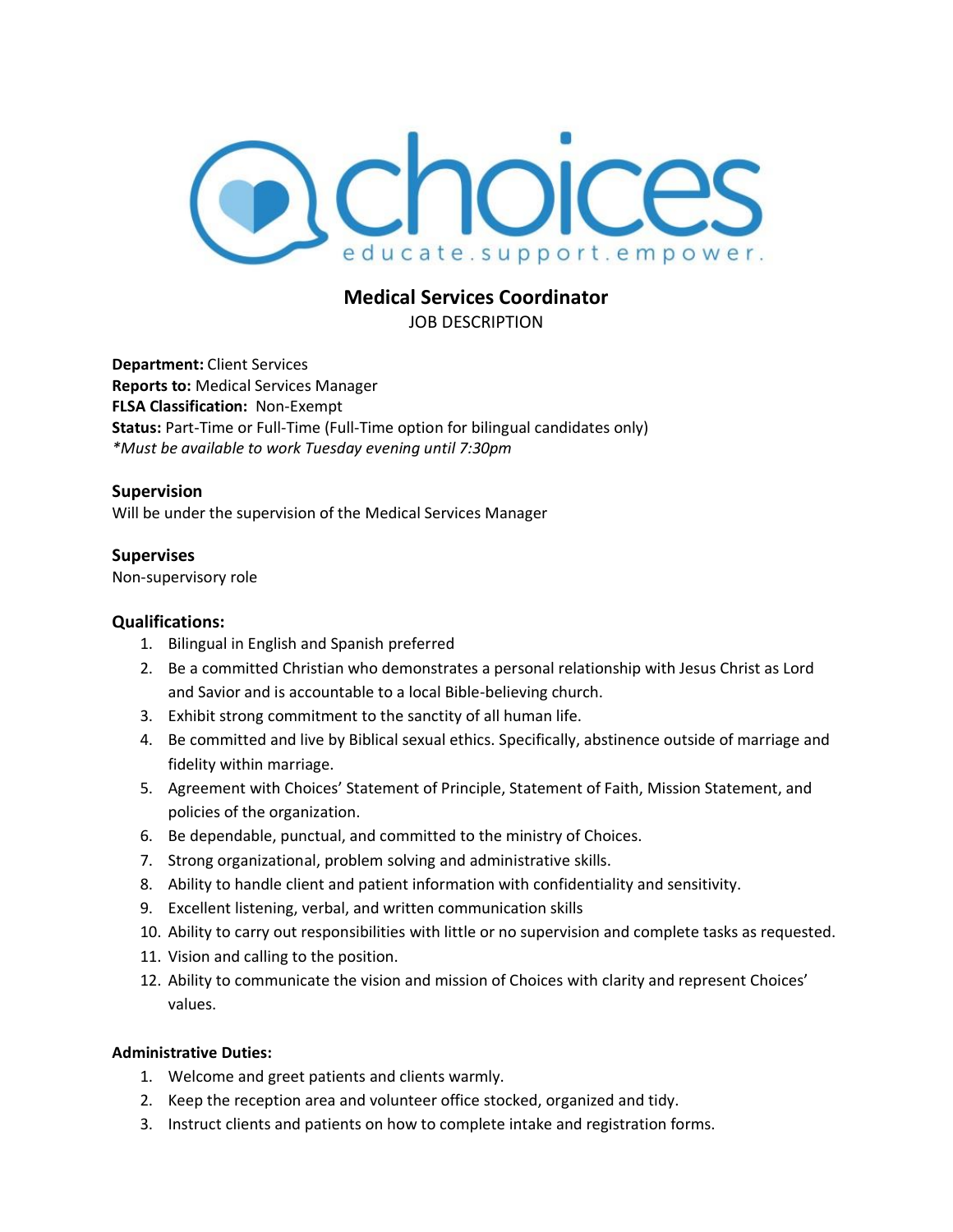

# **Medical Services Coordinator**

JOB DESCRIPTION

**Department:** Client Services **Reports to:** Medical Services Manager **FLSA Classification:** Non-Exempt **Status:** Part-Time or Full-Time (Full-Time option for bilingual candidates only) *\*Must be available to work Tuesday evening until 7:30pm* 

# **Supervision**

Will be under the supervision of the Medical Services Manager

# **Supervises**

Non-supervisory role

# **Qualifications:**

- 1. Bilingual in English and Spanish preferred
- 2. Be a committed Christian who demonstrates a personal relationship with Jesus Christ as Lord and Savior and is accountable to a local Bible-believing church.
- 3. Exhibit strong commitment to the sanctity of all human life.
- 4. Be committed and live by Biblical sexual ethics. Specifically, abstinence outside of marriage and fidelity within marriage.
- 5. Agreement with Choices' Statement of Principle, Statement of Faith, Mission Statement, and policies of the organization.
- 6. Be dependable, punctual, and committed to the ministry of Choices.
- 7. Strong organizational, problem solving and administrative skills.
- 8. Ability to handle client and patient information with confidentiality and sensitivity.
- 9. Excellent listening, verbal, and written communication skills
- 10. Ability to carry out responsibilities with little or no supervision and complete tasks as requested.
- 11. Vision and calling to the position.
- 12. Ability to communicate the vision and mission of Choices with clarity and represent Choices' values.

# **Administrative Duties:**

- 1. Welcome and greet patients and clients warmly.
- 2. Keep the reception area and volunteer office stocked, organized and tidy.
- 3. Instruct clients and patients on how to complete intake and registration forms.